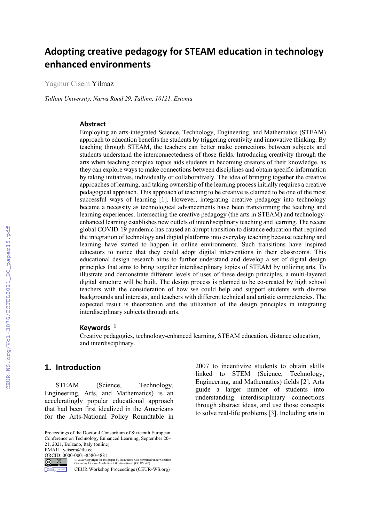# **Adopting creative pedagogy for STEAM education in technology enhanced environments**

Yagmur Cisem Yilmaz

*Tallinn University, Narva Road 29, Tallinn, 10121, Estonia*

#### **Abstract**

Employing an arts-integrated Science, Technology, Engineering, and Mathematics (STEAM) approach to education benefits the students by triggering creativity and innovative thinking. By teaching through STEAM, the teachers can better make connections between subjects and students understand the interconnectedness of those fields. Introducing creativity through the arts when teaching complex topics aids students in becoming creators of their knowledge, as they can explore ways to make connections between disciplines and obtain specific information by taking initiatives, individually or collaboratively. The idea of bringing together the creative approaches of learning, and taking ownership of the learning process initially requires a creative pedagogical approach. This approach of teaching to be creative is claimed to be one of the most successful ways of learning [1]. However, integrating creative pedagogy into technology became a necessity as technological advancements have been transforming the teaching and learning experiences. Intersecting the creative pedagogy (the arts in STEAM) and technologyenhanced learning establishes new outlets of interdisciplinary teaching and learning. The recent global COVID-19 pandemic has caused an abrupt transition to distance education that required the integration of technology and digital platforms into everyday teaching because teaching and learning have started to happen in online environments. Such transitions have inspired educators to notice that they could adopt digital interventions in their classrooms. This educational design research aims to further understand and develop a set of digital design principles that aims to bring together interdisciplinary topics of STEAM by utilizing arts. To illustrate and demonstrate different levels of uses of these design principles, a multi-layered digital structure will be built. The design process is planned to be co-created by high school teachers with the consideration of how we could help and support students with diverse backgrounds and interests, and teachers with different technical and artistic competencies. The expected result is theorization and the utilization of the design principles in integrating interdisciplinary subjects through arts.

#### **Keywords 1**

Creative pedagogies, technology-enhanced learning, STEAM education, distance education, and interdisciplinary.

#### **1. Introduction**

STEAM (Science, Technology, Engineering, Arts, and Mathematics) is an acceleratingly popular educational approach that had been first idealized in the Americans for the Arts-National Policy Roundtable in

ORCID: 0000-0001-8580-4881



© 2020 Copyright for this paper by its authors. Use permitted under Creative Commons License Attribution 4.0 International (CC BY 4.0).

2007 to incentivize students to obtain skills linked to STEM (Science, Technology, Engineering, and Mathematics) fields [2]. Arts guide a larger number of students into understanding interdisciplinary connections through abstract ideas, and use those concepts to solve real-life problems [3]. Including arts in

Proceedings of the Doctoral Consortium of Sixteenth European Conference on Technology Enhanced Learning, September 20– 21, 2021, Bolzano, Italy (online). EMAIL: ycisem@tlu.ee

CEUR Workshop Proceedings (CEUR-WS.org)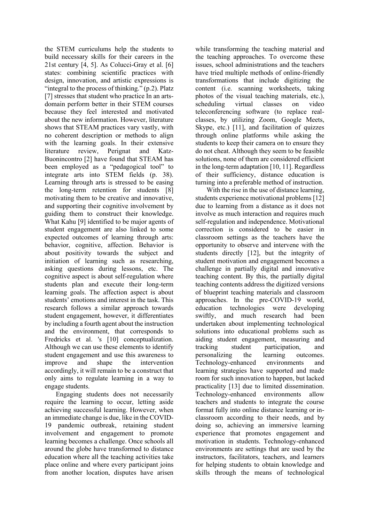the STEM curriculums help the students to build necessary skills for their careers in the 21st century [4, 5]. As Colucci-Gray et al. [6] states: combining scientific practices with design, innovation, and artistic expressions is "integral to the process of thinking."  $(p.2)$ . Platz [7] stresses that student who practice In an artsdomain perform better in their STEM courses because they feel interested and motivated about the new information. However, literature shows that STEAM practices vary vastly, with no coherent description or methods to align with the learning goals. In their extensive literature review, Perignat and Katz-Buonincontro [2] have found that STEAM has been employed as a "pedagogical tool" to integrate arts into STEM fields (p. 38). Learning through arts is stressed to be easing the long-term retention for students [8] motivating them to be creative and innovative, and supporting their cognitive involvement by guiding them to construct their knowledge. What Kahu [9] identified to be major agents of student engagement are also linked to some expected outcomes of learning through arts: behavior, cognitive, affection. Behavior is about positivity towards the subject and initiation of learning such as researching, asking questions during lessons, etc. The cognitive aspect is about self-regulation where students plan and execute their long-term learning goals. The affection aspect is about students' emotions and interest in the task. This research follows a similar approach towards student engagement, however, it differentiates by including a fourth agent about the instruction and the environment, that corresponds to Fredricks et al. 's [10] conceptualization. Although we can use these elements to identify student engagement and use this awareness to improve and shape the intervention accordingly, it will remain to be a construct that only aims to regulate learning in a way to engage students.

Engaging students does not necessarily require the learning to occur, letting aside achieving successful learning. However, when an immediate change is due, like in the COVID-19 pandemic outbreak, retaining student involvement and engagement to promote learning becomes a challenge. Once schools all around the globe have transformed to distance education where all the teaching activities take place online and where every participant joins from another location, disputes have arisen

while transforming the teaching material and the teaching approaches. To overcome these issues, school administrations and the teachers have tried multiple methods of online-friendly transformations that include digitizing the content (i.e. scanning worksheets, taking photos of the visual teaching materials, etc.), scheduling virtual classes on video teleconferencing software (to replace realclasses, by utilizing Zoom, Google Meets, Skype, etc.) [11], and facilitation of quizzes through online platforms while asking the students to keep their camera on to ensure they do not cheat. Although they seem to be feasible solutions, none of them are considered efficient in the long-term adaptation [10, 11]. Regardless of their sufficiency, distance education is turning into a preferable method of instruction.

With the rise in the use of distance learning, students experience motivational problems [12] due to learning from a distance as it does not involve as much interaction and requires much self-regulation and independence. Motivational correction is considered to be easier in classroom settings as the teachers have the opportunity to observe and intervene with the students directly [12], but the integrity of student motivation and engagement becomes a challenge in partially digital and innovative teaching content. By this, the partially digital teaching contents address the digitized versions of blueprint teaching materials and classroom approaches. In the pre-COVID-19 world, education technologies were developing swiftly, and much research had been undertaken about implementing technological solutions into educational problems such as aiding student engagement, measuring and tracking student participation, and personalizing the learning outcomes. Technology-enhanced environments and learning strategies have supported and made room for such innovation to happen, but lacked practicality [13] due to limited dissemination. Technology-enhanced environments allow teachers and students to integrate the course format fully into online distance learning or inclassroom according to their needs, and by doing so, achieving an immersive learning experience that promotes engagement and motivation in students. Technology-enhanced environments are settings that are used by the instructors, facilitators, teachers, and learners for helping students to obtain knowledge and skills through the means of technological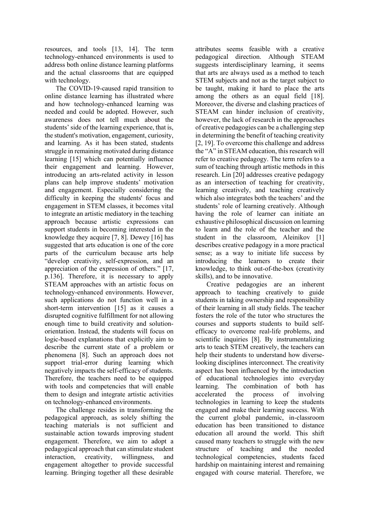resources, and tools [13, 14]. The term technology-enhanced environments is used to address both online distance learning platforms and the actual classrooms that are equipped with technology.

The COVID-19-caused rapid transition to online distance learning has illustrated where and how technology-enhanced learning was needed and could be adopted. However, such awareness does not tell much about the students' side of the learning experience, that is, the student's motivation, engagement, curiosity, and learning. As it has been stated, students struggle in remaining motivated during distance learning [15] which can potentially influence their engagement and learning. However, introducing an arts-related activity in lesson plans can help improve students' motivation and engagement. Especially considering the difficulty in keeping the students' focus and engagement in STEM classes, it becomes vital to integrate an artistic mediatory in the teaching approach because artistic expressions can support students in becoming interested in the knowledge they acquire [7, 8]. Dewey [16] has suggested that arts education is one of the core parts of the curriculum because arts help "develop creativity, self-expression, and an appreciation of the expression of others." [17, p.136]. Therefore, it is necessary to apply STEAM approaches with an artistic focus on technology-enhanced environments. However, such applications do not function well in a short-term intervention [15] as it causes a disrupted cognitive fulfillment for not allowing enough time to build creativity and solutionorientation. Instead, the students will focus on logic-based explanations that explicitly aim to describe the current state of a problem or phenomena [8]. Such an approach does not support trial-error during learning which negatively impacts the self-efficacy of students. Therefore, the teachers need to be equipped with tools and competencies that will enable them to design and integrate artistic activities on technology-enhanced environments.

The challenge resides in transforming the pedagogical approach, as solely shifting the teaching materials is not sufficient and sustainable action towards improving student engagement. Therefore, we aim to adopt a pedagogical approach that can stimulate student interaction, creativity, willingness, and engagement altogether to provide successful learning. Bringing together all these desirable

attributes seems feasible with a creative pedagogical direction. Although STEAM suggests interdisciplinary learning, it seems that arts are always used as a method to teach STEM subjects and not as the target subject to be taught, making it hard to place the arts among the others as an equal field [18]. Moreover, the diverse and clashing practices of STEAM can hinder inclusion of creativity, however, the lack of research in the approaches of creative pedagogies can be a challenging step in determining the benefit of teaching creativity [2, 19]. To overcome this challenge and address the "A" in STEAM education, this research will refer to creative pedagogy. The term refers to a sum of teaching through artistic methods in this research. Lin [20] addresses creative pedagogy as an intersection of teaching for creativity, learning creatively, and teaching creatively which also integrates both the teachers' and the students' role of learning creatively. Although having the role of learner can initiate an exhaustive philosophical discussion on learning to learn and the role of the teacher and the student in the classroom, Aleinikov [1] describes creative pedagogy in a more practical sense; as a way to initiate life success by introducing the learners to create their knowledge, to think out-of-the-box (creativity skills), and to be innovative.

Creative pedagogies are an inherent approach to teaching creatively to guide students in taking ownership and responsibility of their learning in all study fields. The teacher fosters the role of the tutor who structures the courses and supports students to build selfefficacy to overcome real-life problems, and scientific inquiries [8]. By instrumentalizing arts to teach STEM creatively, the teachers can help their students to understand how diverselooking disciplines interconnect. The creativity aspect has been influenced by the introduction of educational technologies into everyday learning. The combination of both has accelerated the process of involving technologies in learning to keep the students engaged and make their learning success. With the current global pandemic, in-classroom education has been transitioned to distance education all around the world. This shift caused many teachers to struggle with the new structure of teaching and the needed technological competencies, students faced hardship on maintaining interest and remaining engaged with course material. Therefore, we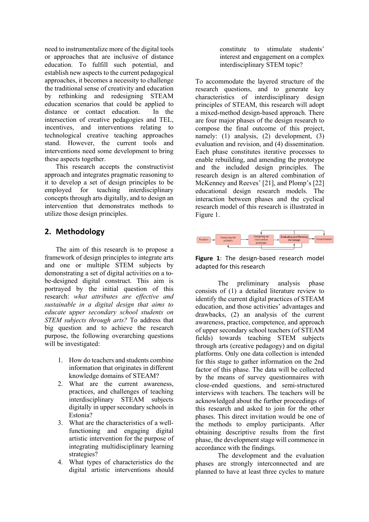need to instrumentalize more of the digital tools or approaches that are inclusive of distance education. To fulfill such potential, and establish new aspects to the current pedagogical approaches, it becomes a necessity to challenge the traditional sense of creativity and education by rethinking and redesigning STEAM education scenarios that could be applied to distance or contact education. In the intersection of creative pedagogies and TEL, incentives, and interventions relating to technological creative teaching approaches stand. However, the current tools and interventions need some development to bring these aspects together.

This research accepts the constructivist approach and integrates pragmatic reasoning to it to develop a set of design principles to be employed for teaching interdisciplinary concepts through arts digitally, and to design an intervention that demonstrates methods to utilize those design principles.

### **2. Methodology**

The aim of this research is to propose a framework of design principles to integrate arts and one or multiple STEM subjects by demonstrating a set of digital activities on a tobe-designed digital construct. This aim is portrayed by the initial question of this research: *what attributes are effective and sustainable in a digital design that aims to educate upper secondary school students on STEM subjects through arts?* To address that big question and to achieve the research purpose, the following overarching questions will be investigated:

- 1. How do teachers and students combine information that originates in different knowledge domains of STEAM?
- 2. What are the current awareness, practices, and challenges of teaching interdisciplinary STEAM subjects digitally in upper secondary schools in Estonia?
- 3. What are the characteristics of a wellfunctioning and engaging digital artistic intervention for the purpose of integrating multidisciplinary learning strategies?
- 4. What types of characteristics do the digital artistic interventions should

constitute to stimulate students' interest and engagement on a complex interdisciplinary STEM topic?

To accommodate the layered structure of the research questions, and to generate key characteristics of interdisciplinary design principles of STEAM, this research will adopt a mixed-method design-based approach. There are four major phases of the design research to compose the final outcome of this project, namely: (1) analysis, (2) development, (3) evaluation and revision, and (4) dissemination. Each phase constitutes iterative processes to enable rebuilding, and amending the prototype and the included design principles. The research design is an altered combination of McKenney and Reeves' [21], and Plomp's [22] educational design research models. The interaction between phases and the cyclical research model of this research is illustrated in Figure 1.



**Figure 1**: The design-based research model adapted for this research

The preliminary analysis phase consists of (1) a detailed literature review to identify the current digital practices of STEAM education, and those activities' advantages and drawbacks, (2) an analysis of the current awareness, practice, competence, and approach of upper secondary school teachers (of STEAM fields) towards teaching STEM subjects through arts (creative pedagogy) and on digital platforms. Only one data collection is intended for this stage to gather information on the 2nd factor of this phase. The data will be collected by the means of survey questionnaires with close-ended questions, and semi-structured interviews with teachers. The teachers will be acknowledged about the further proceedings of this research and asked to join for the other phases. This direct invitation would be one of the methods to employ participants. After obtaining descriptive results from the first phase, the development stage will commence in accordance with the findings.

The development and the evaluation phases are strongly interconnected and are planned to have at least three cycles to mature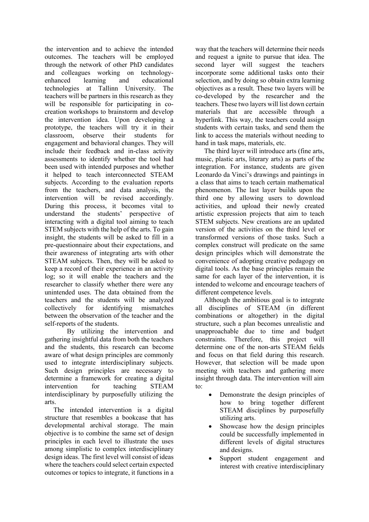the intervention and to achieve the intended outcomes. The teachers will be employed through the network of other PhD candidates and colleagues working on technologyenhanced learning and educational technologies at Tallinn University. The teachers will be partners in this research as they will be responsible for participating in cocreation workshops to brainstorm and develop the intervention idea. Upon developing a prototype, the teachers will try it in their classroom, observe their students for engagement and behavioral changes. They will include their feedback and in-class activity assessments to identify whether the tool had been used with intended purposes and whether it helped to teach interconnected STEAM subjects. According to the evaluation reports from the teachers, and data analysis, the intervention will be revised accordingly. During this process, it becomes vital to understand the students' perspective of interacting with a digital tool aiming to teach STEM subjects with the help of the arts. To gain insight, the students will be asked to fill in a pre-questionnaire about their expectations, and their awareness of integrating arts with other STEAM subjects. Then, they will be asked to keep a record of their experience in an activity log; so it will enable the teachers and the researcher to classify whether there were any unintended uses. The data obtained from the teachers and the students will be analyzed collectively for identifying mismatches between the observation of the teacher and the self-reports of the students.

By utilizing the intervention and gathering insightful data from both the teachers and the students, this research can become aware of what design principles are commonly used to integrate interdisciplinary subjects. Such design principles are necessary to determine a framework for creating a digital intervention for teaching STEAM interdisciplinary by purposefully utilizing the arts.

The intended intervention is a digital structure that resembles a bookcase that has developmental archival storage. The main objective is to combine the same set of design principles in each level to illustrate the uses among simplistic to complex interdisciplinary design ideas. The first level will consist of ideas where the teachers could select certain expected outcomes or topics to integrate, it functions in a

way that the teachers will determine their needs and request a ignite to pursue that idea. The second layer will suggest the teachers incorporate some additional tasks onto their selection, and by doing so obtain extra learning objectives as a result. These two layers will be co-developed by the researcher and the teachers. These two layers will list down certain materials that are accessible through a hyperlink. This way, the teachers could assign students with certain tasks, and send them the link to access the materials without needing to hand in task maps, materials, etc.

The third layer will introduce arts (fine arts, music, plastic arts, literary arts) as parts of the integration. For instance, students are given Leonardo da Vinci's drawings and paintings in a class that aims to teach certain mathematical phenomenon. The last layer builds upon the third one by allowing users to download activities, and upload their newly created artistic expression projects that aim to teach STEM subjects. New creations are an updated version of the activities on the third level or transformed versions of those tasks. Such a complex construct will predicate on the same design principles which will demonstrate the convenience of adopting creative pedagogy on digital tools. As the base principles remain the same for each layer of the intervention, it is intended to welcome and encourage teachers of different competence levels.

Although the ambitious goal is to integrate all disciplines of STEAM (in different combinations or altogether) in the digital structure, such a plan becomes unrealistic and unapproachable due to time and budget constraints. Therefore, this project will determine one of the non-arts STEAM fields and focus on that field during this research. However, that selection will be made upon meeting with teachers and gathering more insight through data. The intervention will aim  $t^{\alpha}$ 

- Demonstrate the design principles of how to bring together different STEAM disciplines by purposefully utilizing arts.
- Showcase how the design principles could be successfully implemented in different levels of digital structures and designs.
- Support student engagement and interest with creative interdisciplinary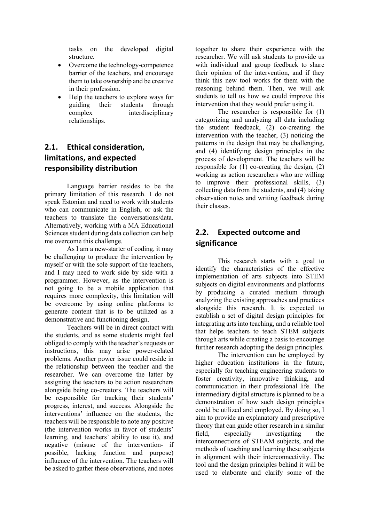tasks on the developed digital structure.

- Overcome the technology-competence barrier of the teachers, and encourage them to take ownership and be creative in their profession.
- Help the teachers to explore ways for<br>guiding their students through guiding their students through complex interdisciplinary relationships.

## **2.1. Ethical consideration, limitations, and expected responsibility distribution**

Language barrier resides to be the primary limitation of this research. I do not speak Estonian and need to work with students who can communicate in English, or ask the teachers to translate the conversations/data. Alternatively, working with a MA Educational Sciences student during data collection can help me overcome this challenge.

As I am a new-starter of coding, it may be challenging to produce the intervention by myself or with the sole support of the teachers, and I may need to work side by side with a programmer. However, as the intervention is not going to be a mobile application that requires more complexity, this limitation will be overcome by using online platforms to generate content that is to be utilized as a demonstrative and functioning design.

Teachers will be in direct contact with the students, and as some students might feel obliged to comply with the teacher's requests or instructions, this may arise power-related problems. Another power issue could reside in the relationship between the teacher and the researcher. We can overcome the latter by assigning the teachers to be action researchers alongside being co-creators. The teachers will be responsible for tracking their students' progress, interest, and success. Alongside the interventions' influence on the students, the teachers will be responsible to note any positive (the intervention works in favor of students' learning, and teachers' ability to use it), and negative (misuse of the intervention- if possible, lacking function and purpose) influence of the intervention. The teachers will be asked to gather these observations, and notes

together to share their experience with the researcher. We will ask students to provide us with individual and group feedback to share their opinion of the intervention, and if they think this new tool works for them with the reasoning behind them. Then, we will ask students to tell us how we could improve this intervention that they would prefer using it.

The researcher is responsible for (1) categorizing and analyzing all data including the student feedback, (2) co-creating the intervention with the teacher, (3) noticing the patterns in the design that may be challenging, and (4) identifying design principles in the process of development. The teachers will be responsible for  $(1)$  co-creating the design,  $(2)$ working as action researchers who are willing to improve their professional skills, (3) collecting data from the students, and (4) taking observation notes and writing feedback during their classes.

## **2.2. Expected outcome and significance**

This research starts with a goal to identify the characteristics of the effective implementation of arts subjects into STEM subjects on digital environments and platforms by producing a curated medium through analyzing the existing approaches and practices alongside this research. It is expected to establish a set of digital design principles for integrating arts into teaching, and a reliable tool that helps teachers to teach STEM subjects through arts while creating a basis to encourage further research adopting the design principles.

The intervention can be employed by higher education institutions in the future, especially for teaching engineering students to foster creativity, innovative thinking, and communication in their professional life. The intermediary digital structure is planned to be a demonstration of how such design principles could be utilized and employed. By doing so, I aim to provide an explanatory and prescriptive theory that can guide other research in a similar field, especially investigating the interconnections of STEAM subjects, and the methods of teaching and learning these subjects in alignment with their interconnectivity. The tool and the design principles behind it will be used to elaborate and clarify some of the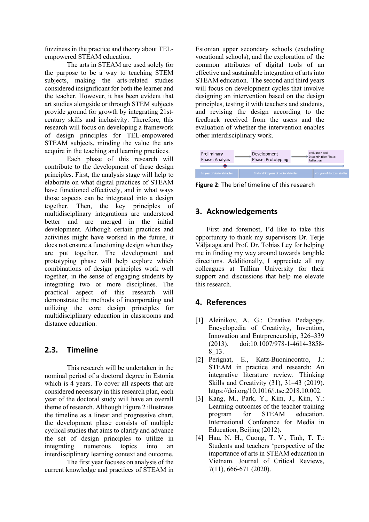fuzziness in the practice and theory about TELempowered STEAM education.

The arts in STEAM are used solely for the purpose to be a way to teaching STEM subjects, making the arts-related studies considered insignificant for both the learner and the teacher. However, it has been evident that art studies alongside or through STEM subjects provide ground for growth by integrating 21stcentury skills and inclusivity. Therefore, this research will focus on developing a framework of design principles for TEL-empowered STEAM subjects, minding the value the arts acquire in the teaching and learning practices.

Each phase of this research will contribute to the development of these design principles. First, the analysis stage will help to elaborate on what digital practices of STEAM have functioned effectively, and in what ways those aspects can be integrated into a design together. Then, the key principles of multidisciplinary integrations are understood better and are merged in the initial development. Although certain practices and activities might have worked in the future, it does not ensure a functioning design when they are put together. The development and prototyping phase will help explore which combinations of design principles work well together, in the sense of engaging students by integrating two or more disciplines. The practical aspect of this research will demonstrate the methods of incorporating and utilizing the core design principles for multidisciplinary education in classrooms and distance education.

### **2.3. Timeline**

This research will be undertaken in the nominal period of a doctoral degree in Estonia which is 4 years. To cover all aspects that are considered necessary in this research plan, each year of the doctoral study will have an overall theme of research. Although Figure 2 illustrates the timeline as a linear and progressive chart, the development phase consists of multiple cyclical studies that aims to clarify and advance the set of design principles to utilize in integrating numerous topics into an interdisciplinary learning context and outcome.

The first year focuses on analysis of the current knowledge and practices of STEAM in

Estonian upper secondary schools (excluding vocational schools), and the exploration of the common attributes of digital tools of an effective and sustainable integration of arts into STEAM education. The second and third years will focus on development cycles that involve designing an intervention based on the design principles, testing it with teachers and students, and revising the design according to the feedback received from the users and the evaluation of whether the intervention enables other interdisciplinary work.



**Figure 2**: The brief timeline of this research

### **3. Acknowledgements**

First and foremost, I'd like to take this opportunity to thank my supervisors Dr. Terje Väljataga and Prof. Dr. Tobias Ley for helping me in finding my way around towards tangible directions. Additionally, I appreciate all my colleagues at Tallinn University for their support and discussions that help me elevate this research.

### **4. References**

- [1] Aleinikov, A. G.: Creative Pedagogy. Encyclopedia of Creativity, Invention, Innovation and Entrpreneurship, 326–339 (2013). doi:10.1007/978-1-4614-3858- 8\_13.
- [2] Perignat, E., Katz-Buonincontro, J.: STEAM in practice and research: An integrative literature review. Thinking Skills and Creativity (31), 31–43 (2019). https://doi.org/10.1016/j.tsc.2018.10.002.
- [3] Kang, M., Park, Y., Kim, J., Kim, Y.: Learning outcomes of the teacher training program for STEAM education. International Conference for Media in Education, Beijing (2012).
- [4] Hau, N. H., Cuong, T. V., Tinh, T. T.: Students and teachers 'perspective of the importance of arts in STEAM education in Vietnam. Journal of Critical Reviews, 7(11), 666-671 (2020).